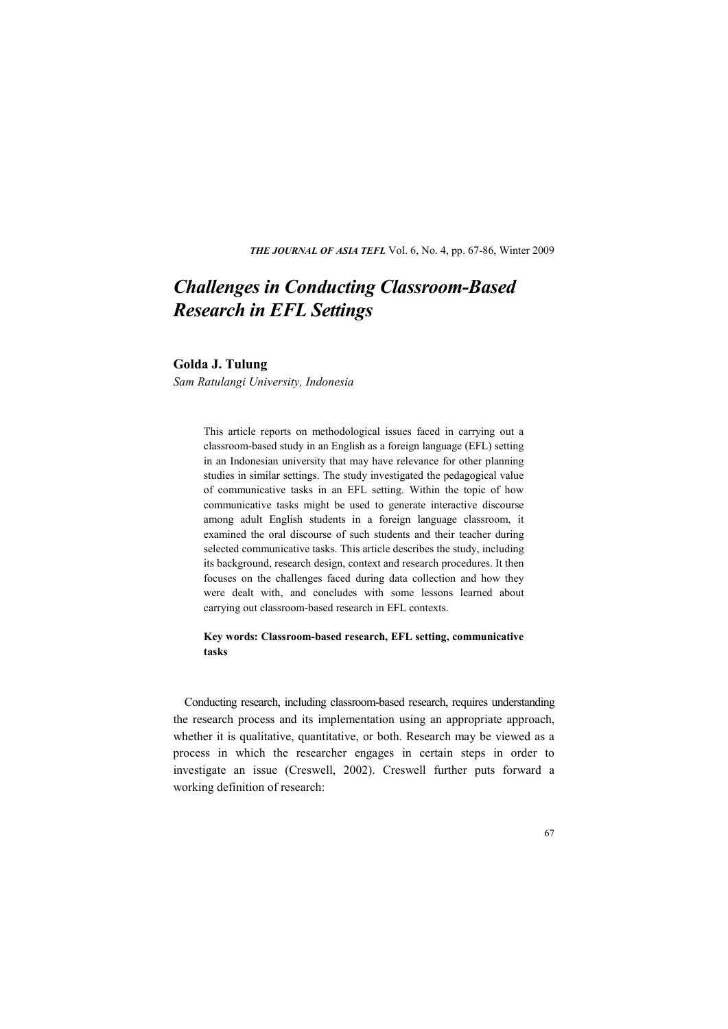*THE JOURNAL OF ASIA TEFL* Vol. 6, No. 4, pp. 67-86, Winter 2009

# *Challenges in Conducting Classroom-Based Research in EFL Settings*

# **Golda J. Tulung**

*Sam Ratulangi University, Indonesia* 

This article reports on methodological issues faced in carrying out a classroom-based study in an English as a foreign language (EFL) setting in an Indonesian university that may have relevance for other planning studies in similar settings. The study investigated the pedagogical value of communicative tasks in an EFL setting. Within the topic of how communicative tasks might be used to generate interactive discourse among adult English students in a foreign language classroom, it examined the oral discourse of such students and their teacher during selected communicative tasks. This article describes the study, including its background, research design, context and research procedures. It then focuses on the challenges faced during data collection and how they were dealt with, and concludes with some lessons learned about carrying out classroom-based research in EFL contexts.

# **Key words: Classroom-based research, EFL setting, communicative tasks**

Conducting research, including classroom-based research, requires understanding the research process and its implementation using an appropriate approach, whether it is qualitative, quantitative, or both. Research may be viewed as a process in which the researcher engages in certain steps in order to investigate an issue (Creswell, 2002). Creswell further puts forward a working definition of research: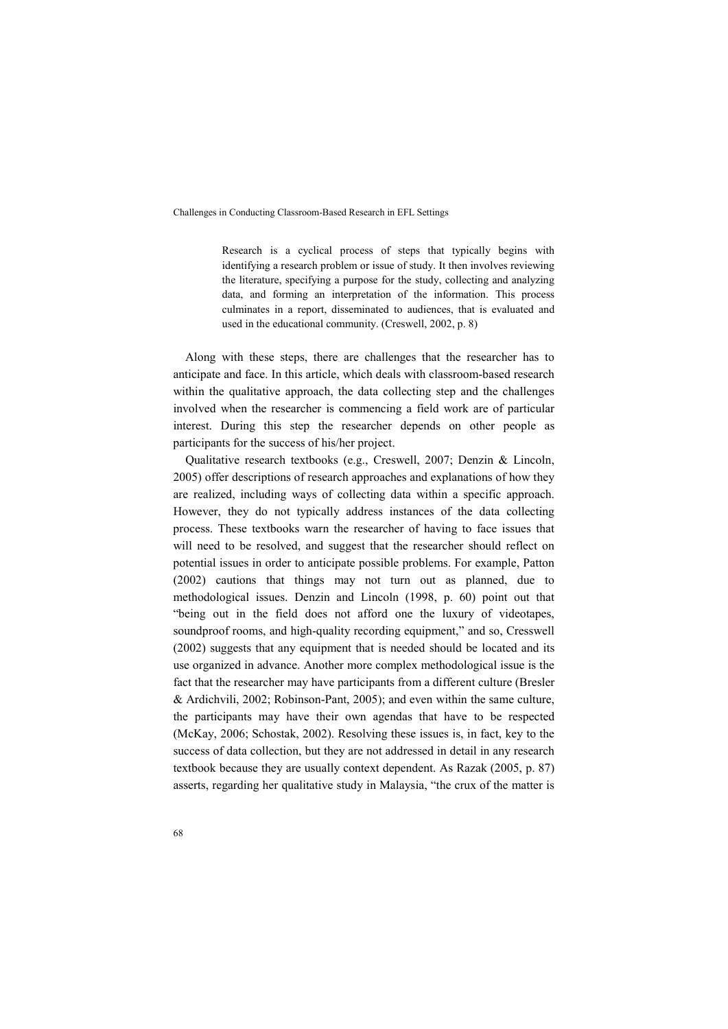Research is a cyclical process of steps that typically begins with identifying a research problem or issue of study. It then involves reviewing the literature, specifying a purpose for the study, collecting and analyzing data, and forming an interpretation of the information. This process culminates in a report, disseminated to audiences, that is evaluated and used in the educational community. (Creswell, 2002, p. 8)

Along with these steps, there are challenges that the researcher has to anticipate and face. In this article, which deals with classroom-based research within the qualitative approach, the data collecting step and the challenges involved when the researcher is commencing a field work are of particular interest. During this step the researcher depends on other people as participants for the success of his/her project.

Qualitative research textbooks (e.g., Creswell, 2007; Denzin & Lincoln, 2005) offer descriptions of research approaches and explanations of how they are realized, including ways of collecting data within a specific approach. However, they do not typically address instances of the data collecting process. These textbooks warn the researcher of having to face issues that will need to be resolved, and suggest that the researcher should reflect on potential issues in order to anticipate possible problems. For example, Patton (2002) cautions that things may not turn out as planned, due to methodological issues. Denzin and Lincoln (1998, p. 60) point out that "being out in the field does not afford one the luxury of videotapes, soundproof rooms, and high-quality recording equipment," and so, Cresswell (2002) suggests that any equipment that is needed should be located and its use organized in advance. Another more complex methodological issue is the fact that the researcher may have participants from a different culture (Bresler & Ardichvili, 2002; Robinson-Pant, 2005); and even within the same culture, the participants may have their own agendas that have to be respected (McKay, 2006; Schostak, 2002). Resolving these issues is, in fact, key to the success of data collection, but they are not addressed in detail in any research textbook because they are usually context dependent. As Razak (2005, p. 87) asserts, regarding her qualitative study in Malaysia, "the crux of the matter is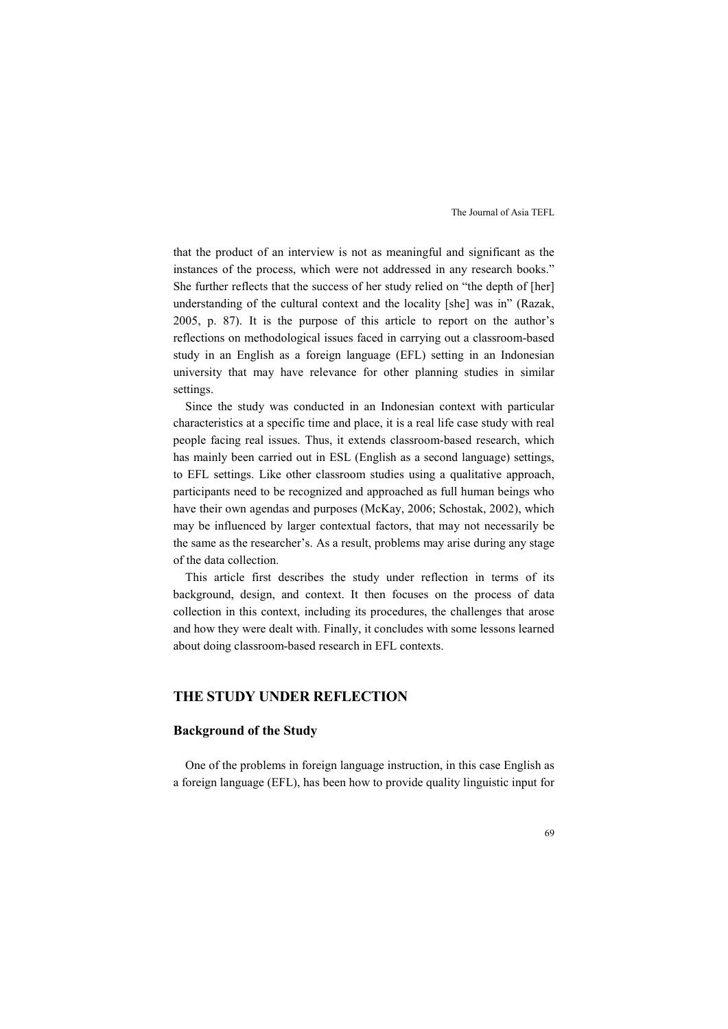that the product of an interview is not as meaningful and significant as the instances of the process, which were not addressed in any research books." She further reflects that the success of her study relied on "the depth of [her] understanding of the cultural context and the locality [she] was in" (Razak, 2005, p. 87). It is the purpose of this article to report on the author's reflections on methodological issues faced in carrying out a classroom-based study in an English as a foreign language (EFL) setting in an Indonesian university that may have relevance for other planning studies in similar settings.

Since the study was conducted in an Indonesian context with particular characteristics at a specific time and place, it is a real life case study with real people facing real issues. Thus, it extends classroom-based research, which has mainly been carried out in ESL (English as a second language) settings, to EFL settings. Like other classroom studies using a qualitative approach, participants need to be recognized and approached as full human beings who have their own agendas and purposes (McKay, 2006; Schostak, 2002), which may be influenced by larger contextual factors, that may not necessarily be the same as the researcher's. As a result, problems may arise during any stage of the data collection.

This article first describes the study under reflection in terms of its background, design, and context. It then focuses on the process of data collection in this context, including its procedures, the challenges that arose and how they were dealt with. Finally, it concludes with some lessons learned about doing classroom-based research in EFL contexts.

#### **THE STUDY UNDER REFLECTION**

# **Background of the Study**

One of the problems in foreign language instruction, in this case English as a foreign language (EFL), has been how to provide quality linguistic input for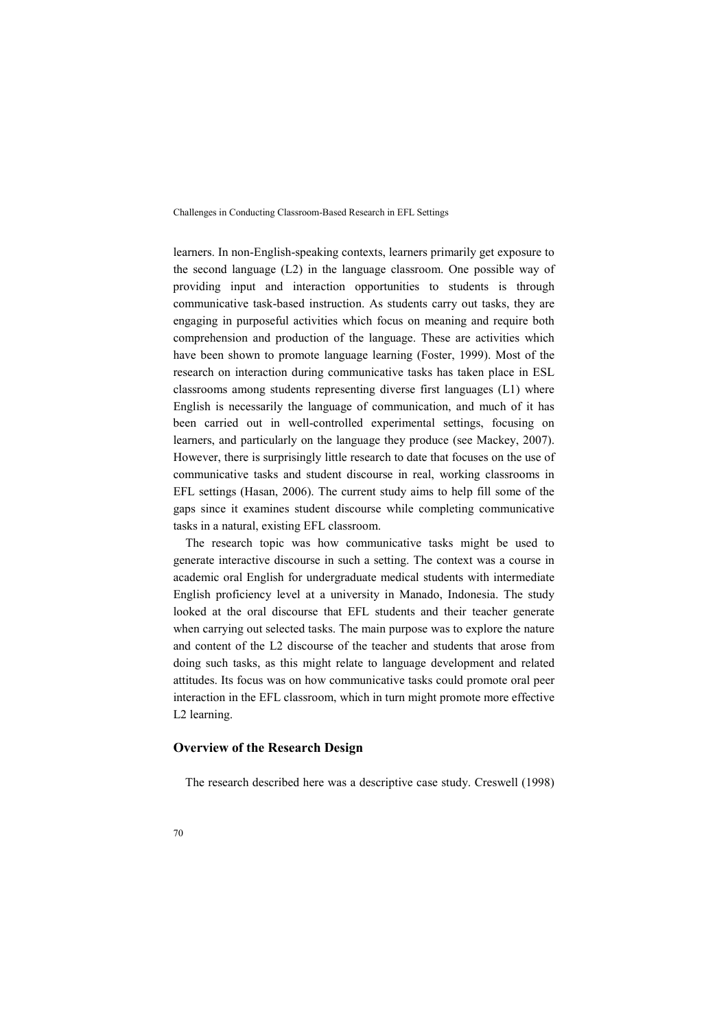learners. In non-English-speaking contexts, learners primarily get exposure to the second language (L2) in the language classroom. One possible way of providing input and interaction opportunities to students is through communicative task-based instruction. As students carry out tasks, they are engaging in purposeful activities which focus on meaning and require both comprehension and production of the language. These are activities which have been shown to promote language learning (Foster, 1999). Most of the research on interaction during communicative tasks has taken place in ESL classrooms among students representing diverse first languages (L1) where English is necessarily the language of communication, and much of it has been carried out in well-controlled experimental settings, focusing on learners, and particularly on the language they produce (see Mackey, 2007). However, there is surprisingly little research to date that focuses on the use of communicative tasks and student discourse in real, working classrooms in EFL settings (Hasan, 2006). The current study aims to help fill some of the gaps since it examines student discourse while completing communicative tasks in a natural, existing EFL classroom.

The research topic was how communicative tasks might be used to generate interactive discourse in such a setting. The context was a course in academic oral English for undergraduate medical students with intermediate English proficiency level at a university in Manado, Indonesia. The study looked at the oral discourse that EFL students and their teacher generate when carrying out selected tasks. The main purpose was to explore the nature and content of the L2 discourse of the teacher and students that arose from doing such tasks, as this might relate to language development and related attitudes. Its focus was on how communicative tasks could promote oral peer interaction in the EFL classroom, which in turn might promote more effective L2 learning.

# **Overview of the Research Design**

The research described here was a descriptive case study. Creswell (1998)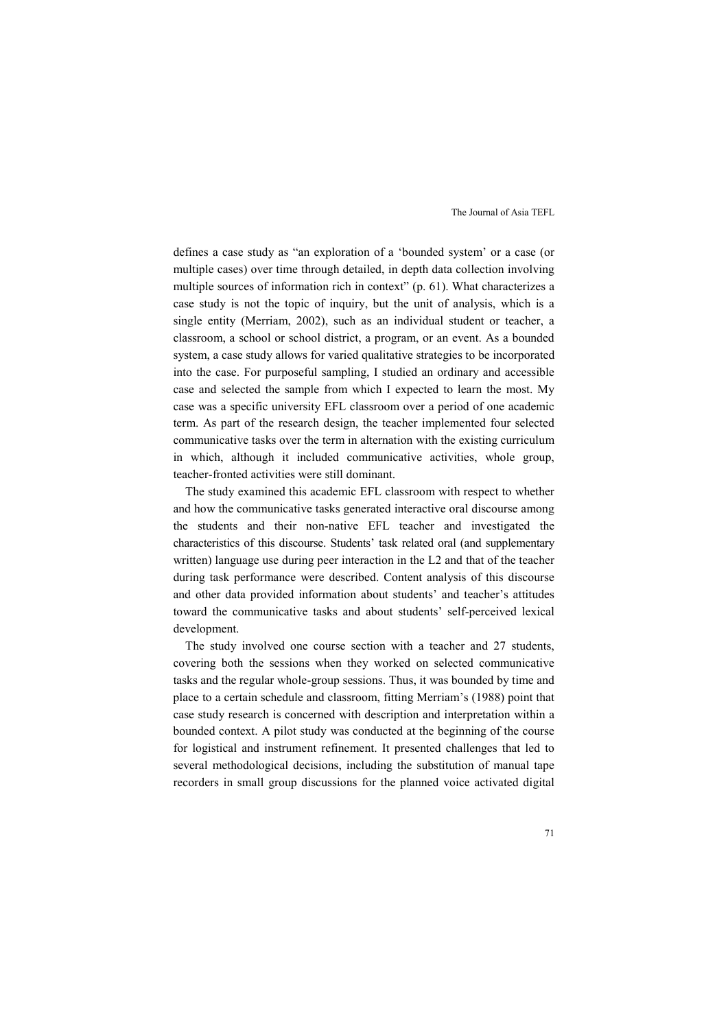defines a case study as "an exploration of a 'bounded system' or a case (or multiple cases) over time through detailed, in depth data collection involving multiple sources of information rich in context" (p. 61). What characterizes a case study is not the topic of inquiry, but the unit of analysis, which is a single entity (Merriam, 2002), such as an individual student or teacher, a classroom, a school or school district, a program, or an event. As a bounded system, a case study allows for varied qualitative strategies to be incorporated into the case. For purposeful sampling, I studied an ordinary and accessible case and selected the sample from which I expected to learn the most. My case was a specific university EFL classroom over a period of one academic term. As part of the research design, the teacher implemented four selected communicative tasks over the term in alternation with the existing curriculum in which, although it included communicative activities, whole group, teacher-fronted activities were still dominant.

The study examined this academic EFL classroom with respect to whether and how the communicative tasks generated interactive oral discourse among the students and their non-native EFL teacher and investigated the characteristics of this discourse. Students' task related oral (and supplementary written) language use during peer interaction in the L2 and that of the teacher during task performance were described. Content analysis of this discourse and other data provided information about students' and teacher's attitudes toward the communicative tasks and about students' self-perceived lexical development.

The study involved one course section with a teacher and 27 students, covering both the sessions when they worked on selected communicative tasks and the regular whole-group sessions. Thus, it was bounded by time and place to a certain schedule and classroom, fitting Merriam's (1988) point that case study research is concerned with description and interpretation within a bounded context. A pilot study was conducted at the beginning of the course for logistical and instrument refinement. It presented challenges that led to several methodological decisions, including the substitution of manual tape recorders in small group discussions for the planned voice activated digital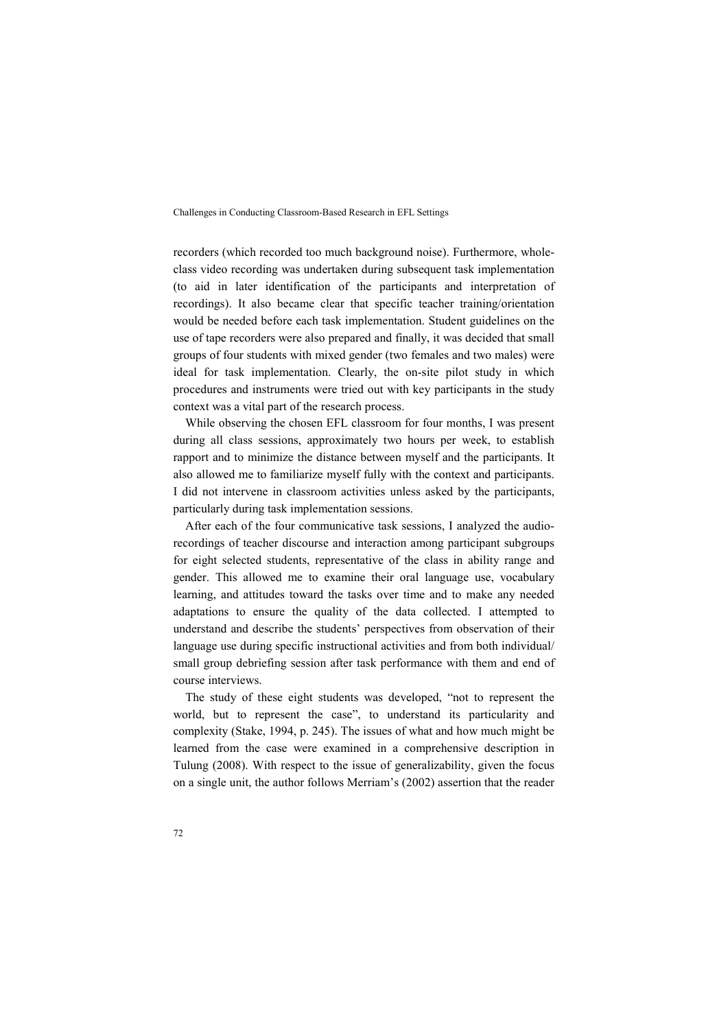recorders (which recorded too much background noise). Furthermore, wholeclass video recording was undertaken during subsequent task implementation (to aid in later identification of the participants and interpretation of recordings). It also became clear that specific teacher training/orientation would be needed before each task implementation. Student guidelines on the use of tape recorders were also prepared and finally, it was decided that small groups of four students with mixed gender (two females and two males) were ideal for task implementation. Clearly, the on-site pilot study in which procedures and instruments were tried out with key participants in the study context was a vital part of the research process.

While observing the chosen EFL classroom for four months, I was present during all class sessions, approximately two hours per week, to establish rapport and to minimize the distance between myself and the participants. It also allowed me to familiarize myself fully with the context and participants. I did not intervene in classroom activities unless asked by the participants, particularly during task implementation sessions.

After each of the four communicative task sessions, I analyzed the audiorecordings of teacher discourse and interaction among participant subgroups for eight selected students, representative of the class in ability range and gender. This allowed me to examine their oral language use, vocabulary learning, and attitudes toward the tasks over time and to make any needed adaptations to ensure the quality of the data collected. I attempted to understand and describe the students' perspectives from observation of their language use during specific instructional activities and from both individual/ small group debriefing session after task performance with them and end of course interviews.

The study of these eight students was developed, "not to represent the world, but to represent the case", to understand its particularity and complexity (Stake, 1994, p. 245). The issues of what and how much might be learned from the case were examined in a comprehensive description in Tulung (2008). With respect to the issue of generalizability, given the focus on a single unit, the author follows Merriam's (2002) assertion that the reader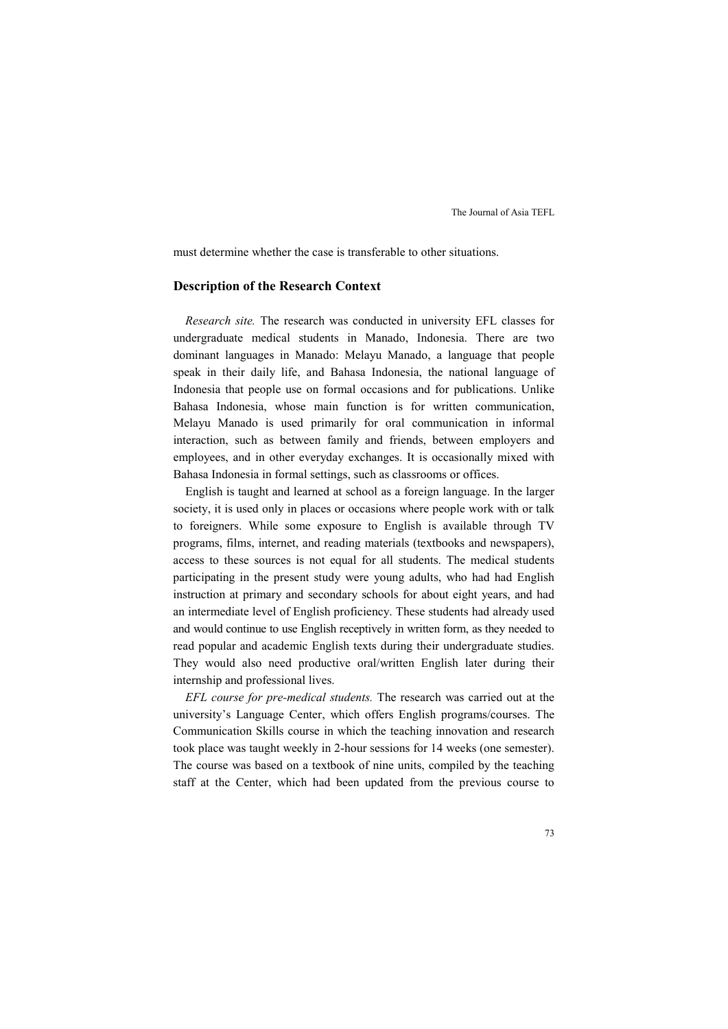must determine whether the case is transferable to other situations.

# **Description of the Research Context**

*Research site.* The research was conducted in university EFL classes for undergraduate medical students in Manado, Indonesia. There are two dominant languages in Manado: Melayu Manado, a language that people speak in their daily life, and Bahasa Indonesia, the national language of Indonesia that people use on formal occasions and for publications. Unlike Bahasa Indonesia, whose main function is for written communication, Melayu Manado is used primarily for oral communication in informal interaction, such as between family and friends, between employers and employees, and in other everyday exchanges. It is occasionally mixed with Bahasa Indonesia in formal settings, such as classrooms or offices.

English is taught and learned at school as a foreign language. In the larger society, it is used only in places or occasions where people work with or talk to foreigners. While some exposure to English is available through TV programs, films, internet, and reading materials (textbooks and newspapers), access to these sources is not equal for all students. The medical students participating in the present study were young adults, who had had English instruction at primary and secondary schools for about eight years, and had an intermediate level of English proficiency. These students had already used and would continue to use English receptively in written form, as they needed to read popular and academic English texts during their undergraduate studies. They would also need productive oral/written English later during their internship and professional lives.

*EFL course for pre-medical students.* The research was carried out at the university's Language Center, which offers English programs/courses. The Communication Skills course in which the teaching innovation and research took place was taught weekly in 2-hour sessions for 14 weeks (one semester). The course was based on a textbook of nine units, compiled by the teaching staff at the Center, which had been updated from the previous course to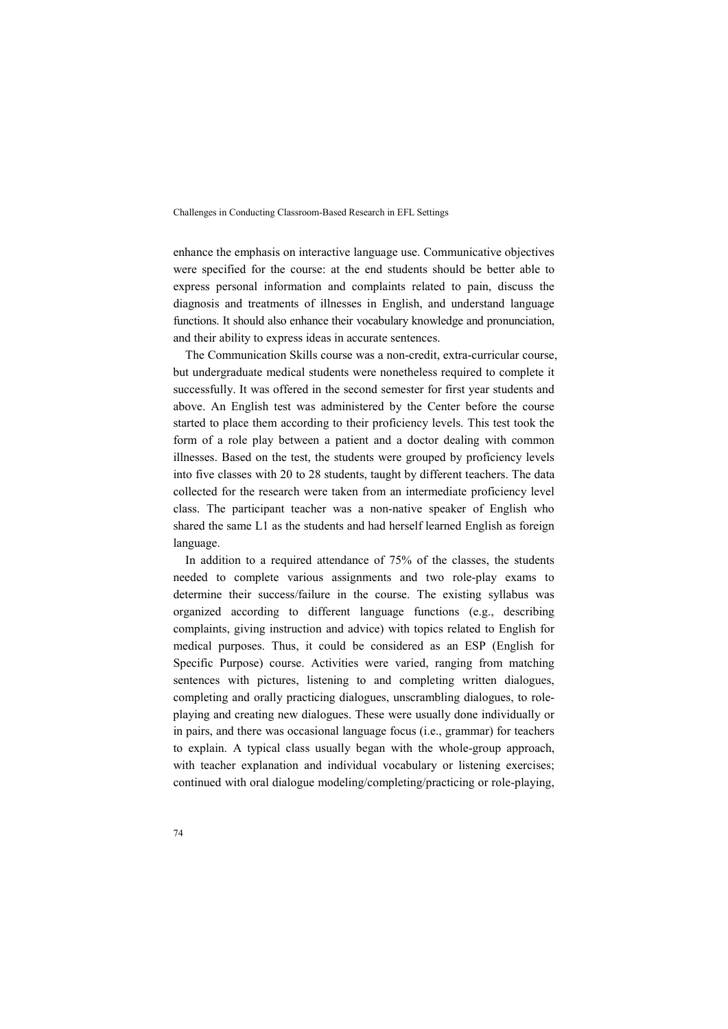enhance the emphasis on interactive language use. Communicative objectives were specified for the course: at the end students should be better able to express personal information and complaints related to pain, discuss the diagnosis and treatments of illnesses in English, and understand language functions. It should also enhance their vocabulary knowledge and pronunciation, and their ability to express ideas in accurate sentences.

The Communication Skills course was a non-credit, extra-curricular course, but undergraduate medical students were nonetheless required to complete it successfully. It was offered in the second semester for first year students and above. An English test was administered by the Center before the course started to place them according to their proficiency levels. This test took the form of a role play between a patient and a doctor dealing with common illnesses. Based on the test, the students were grouped by proficiency levels into five classes with 20 to 28 students, taught by different teachers. The data collected for the research were taken from an intermediate proficiency level class. The participant teacher was a non-native speaker of English who shared the same L1 as the students and had herself learned English as foreign language.

In addition to a required attendance of 75% of the classes, the students needed to complete various assignments and two role-play exams to determine their success/failure in the course. The existing syllabus was organized according to different language functions (e.g., describing complaints, giving instruction and advice) with topics related to English for medical purposes. Thus, it could be considered as an ESP (English for Specific Purpose) course. Activities were varied, ranging from matching sentences with pictures, listening to and completing written dialogues, completing and orally practicing dialogues, unscrambling dialogues, to roleplaying and creating new dialogues. These were usually done individually or in pairs, and there was occasional language focus (i.e., grammar) for teachers to explain. A typical class usually began with the whole-group approach, with teacher explanation and individual vocabulary or listening exercises; continued with oral dialogue modeling/completing/practicing or role-playing,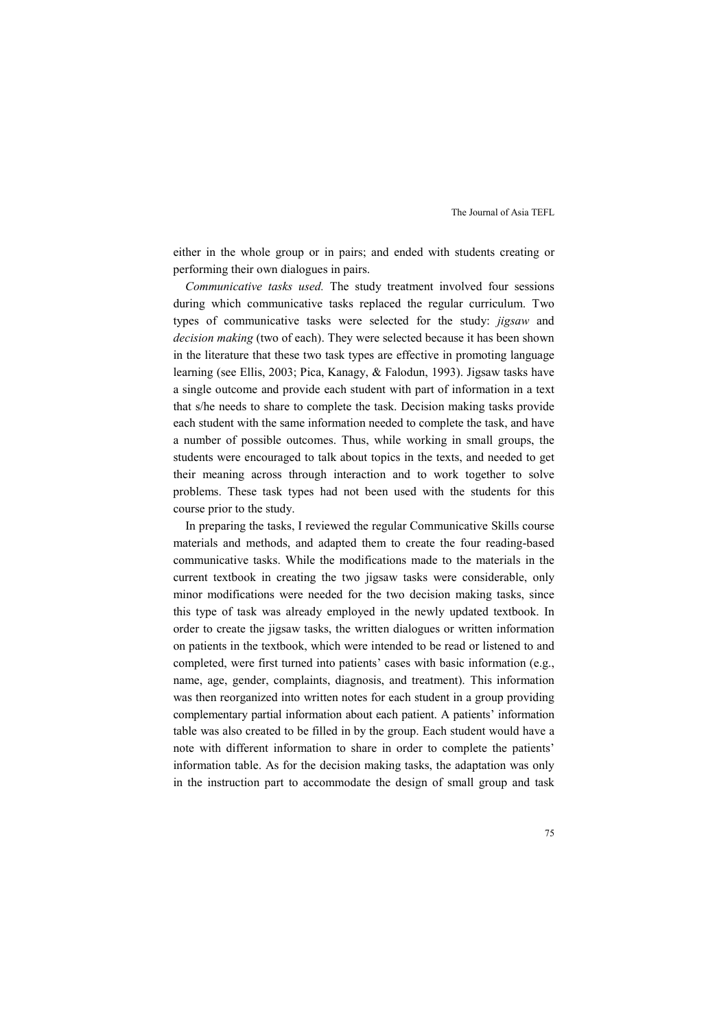either in the whole group or in pairs; and ended with students creating or performing their own dialogues in pairs.

*Communicative tasks used.* The study treatment involved four sessions during which communicative tasks replaced the regular curriculum. Two types of communicative tasks were selected for the study: *jigsaw* and *decision making* (two of each). They were selected because it has been shown in the literature that these two task types are effective in promoting language learning (see Ellis, 2003; Pica, Kanagy, & Falodun, 1993). Jigsaw tasks have a single outcome and provide each student with part of information in a text that s/he needs to share to complete the task. Decision making tasks provide each student with the same information needed to complete the task, and have a number of possible outcomes. Thus, while working in small groups, the students were encouraged to talk about topics in the texts, and needed to get their meaning across through interaction and to work together to solve problems. These task types had not been used with the students for this course prior to the study.

In preparing the tasks, I reviewed the regular Communicative Skills course materials and methods, and adapted them to create the four reading-based communicative tasks. While the modifications made to the materials in the current textbook in creating the two jigsaw tasks were considerable, only minor modifications were needed for the two decision making tasks, since this type of task was already employed in the newly updated textbook. In order to create the jigsaw tasks, the written dialogues or written information on patients in the textbook, which were intended to be read or listened to and completed, were first turned into patients' cases with basic information (e.g., name, age, gender, complaints, diagnosis, and treatment). This information was then reorganized into written notes for each student in a group providing complementary partial information about each patient. A patients' information table was also created to be filled in by the group. Each student would have a note with different information to share in order to complete the patients' information table. As for the decision making tasks, the adaptation was only in the instruction part to accommodate the design of small group and task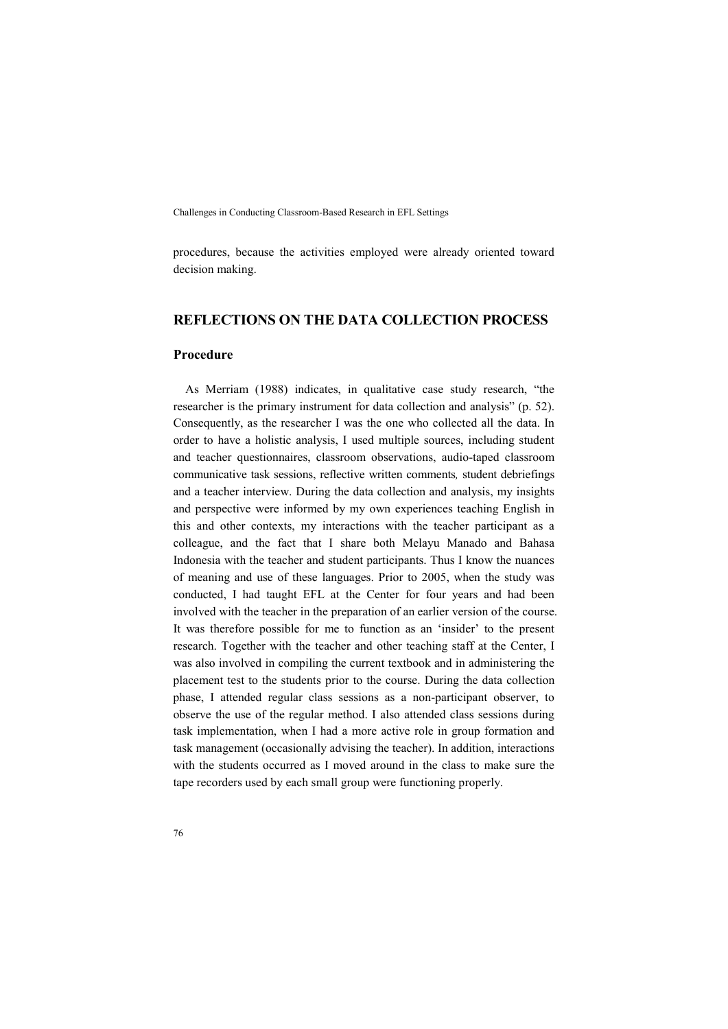procedures, because the activities employed were already oriented toward decision making.

# **REFLECTIONS ON THE DATA COLLECTION PROCESS**

# **Procedure**

As Merriam (1988) indicates, in qualitative case study research, "the researcher is the primary instrument for data collection and analysis" (p. 52). Consequently, as the researcher I was the one who collected all the data. In order to have a holistic analysis, I used multiple sources, including student and teacher questionnaires, classroom observations, audio-taped classroom communicative task sessions, reflective written comments*,* student debriefings and a teacher interview. During the data collection and analysis, my insights and perspective were informed by my own experiences teaching English in this and other contexts, my interactions with the teacher participant as a colleague, and the fact that I share both Melayu Manado and Bahasa Indonesia with the teacher and student participants. Thus I know the nuances of meaning and use of these languages. Prior to 2005, when the study was conducted, I had taught EFL at the Center for four years and had been involved with the teacher in the preparation of an earlier version of the course. It was therefore possible for me to function as an 'insider' to the present research. Together with the teacher and other teaching staff at the Center, I was also involved in compiling the current textbook and in administering the placement test to the students prior to the course. During the data collection phase, I attended regular class sessions as a non-participant observer, to observe the use of the regular method. I also attended class sessions during task implementation, when I had a more active role in group formation and task management (occasionally advising the teacher). In addition, interactions with the students occurred as I moved around in the class to make sure the tape recorders used by each small group were functioning properly.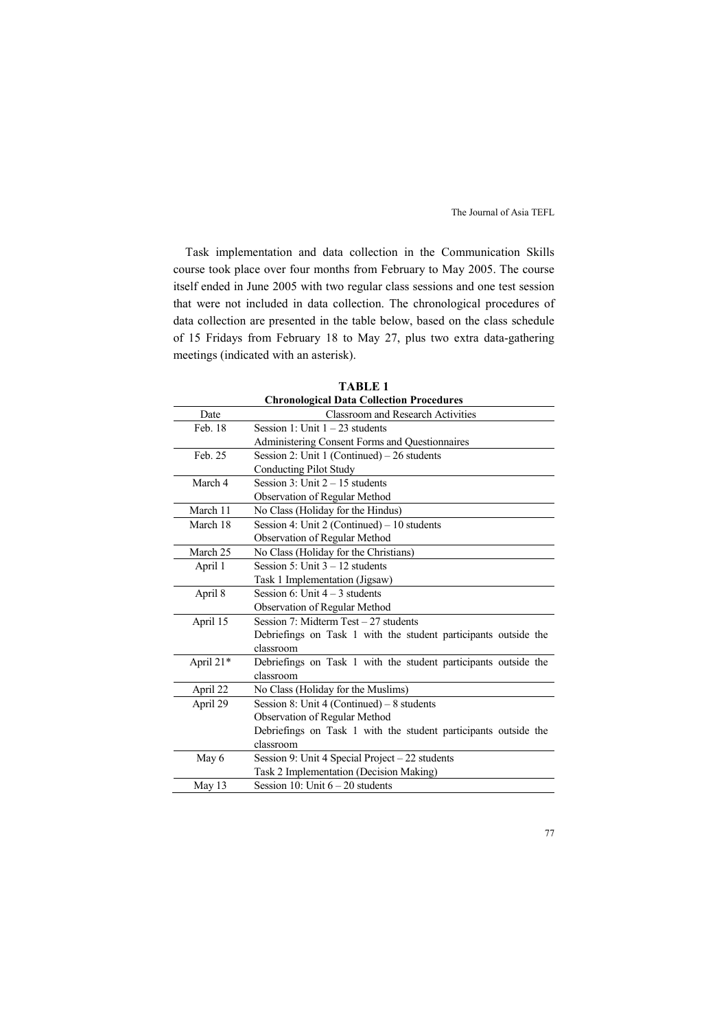Task implementation and data collection in the Communication Skills course took place over four months from February to May 2005. The course itself ended in June 2005 with two regular class sessions and one test session that were not included in data collection. The chronological procedures of data collection are presented in the table below, based on the class schedule of 15 Fridays from February 18 to May 27, plus two extra data-gathering meetings (indicated with an asterisk).

| <b>Chronological Data Collection Procedures</b> |                                                                 |
|-------------------------------------------------|-----------------------------------------------------------------|
| Date                                            | <b>Classroom and Research Activities</b>                        |
| Feb. 18                                         | Session 1: Unit $1 - 23$ students                               |
|                                                 | Administering Consent Forms and Questionnaires                  |
| Feb. 25                                         | Session 2: Unit 1 (Continued) $-26$ students                    |
|                                                 | <b>Conducting Pilot Study</b>                                   |
| March 4                                         | Session 3: Unit $2 - 15$ students                               |
|                                                 | <b>Observation of Regular Method</b>                            |
| March 11                                        | No Class (Holiday for the Hindus)                               |
| March 18                                        | Session 4: Unit 2 (Continued) $-10$ students                    |
|                                                 | Observation of Regular Method                                   |
| March 25                                        | No Class (Holiday for the Christians)                           |
| April 1                                         | Session $5:$ Unit $3-12$ students                               |
|                                                 | Task 1 Implementation (Jigsaw)                                  |
| April 8                                         | Session 6: Unit $4 - 3$ students                                |
|                                                 | Observation of Regular Method                                   |
| April 15                                        | Session 7: Midterm Test $-27$ students                          |
|                                                 | Debriefings on Task 1 with the student participants outside the |
|                                                 | classroom                                                       |
| April 21*                                       | Debriefings on Task 1 with the student participants outside the |
|                                                 | classroom                                                       |
| April 22                                        | No Class (Holiday for the Muslims)                              |
| April 29                                        | Session 8: Unit 4 (Continued) $-8$ students                     |
|                                                 | Observation of Regular Method                                   |
|                                                 | Debriefings on Task 1 with the student participants outside the |
|                                                 | classroom                                                       |
| May 6                                           | Session 9: Unit 4 Special Project - 22 students                 |
|                                                 | Task 2 Implementation (Decision Making)                         |
| May 13                                          | Session 10: Unit $6 - 20$ students                              |

**TABLE 1**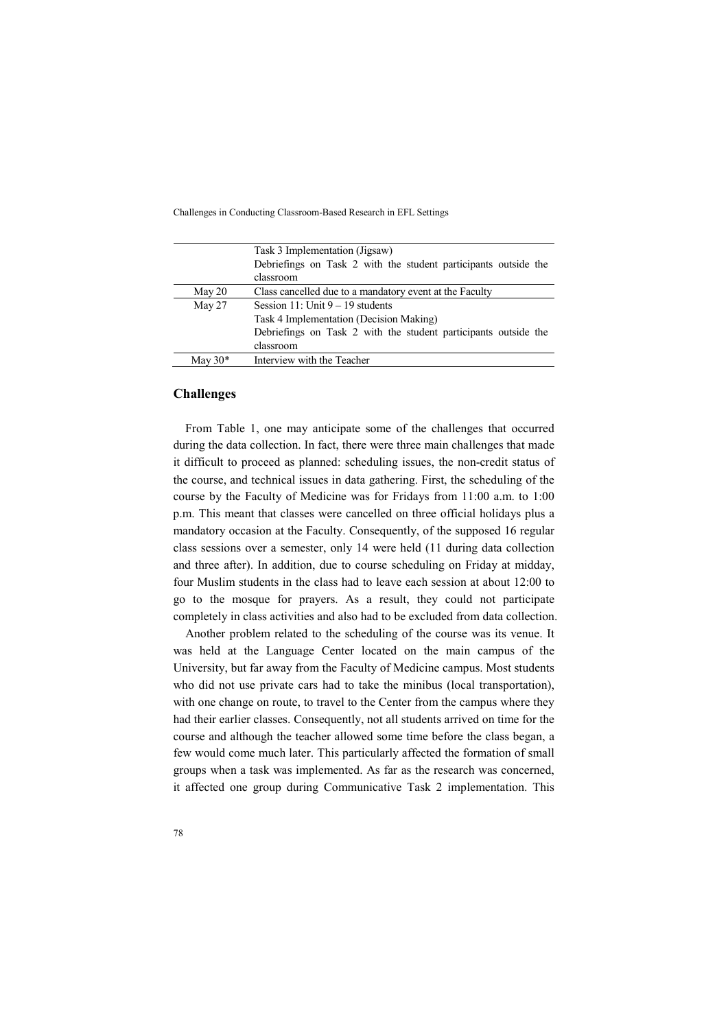|           | Task 3 Implementation (Jigsaw)                                  |
|-----------|-----------------------------------------------------------------|
|           | Debriefings on Task 2 with the student participants outside the |
|           | classroom                                                       |
| May 20    | Class cancelled due to a mandatory event at the Faculty         |
| May 27    | Session 11: Unit $9 - 19$ students                              |
|           | Task 4 Implementation (Decision Making)                         |
|           | Debriefings on Task 2 with the student participants outside the |
|           | classroom                                                       |
| May $30*$ | Interview with the Teacher                                      |

# **Challenges**

From Table 1, one may anticipate some of the challenges that occurred during the data collection. In fact, there were three main challenges that made it difficult to proceed as planned: scheduling issues, the non-credit status of the course, and technical issues in data gathering. First, the scheduling of the course by the Faculty of Medicine was for Fridays from 11:00 a.m. to 1:00 p.m. This meant that classes were cancelled on three official holidays plus a mandatory occasion at the Faculty. Consequently, of the supposed 16 regular class sessions over a semester, only 14 were held (11 during data collection and three after). In addition, due to course scheduling on Friday at midday, four Muslim students in the class had to leave each session at about 12:00 to go to the mosque for prayers. As a result, they could not participate completely in class activities and also had to be excluded from data collection.

Another problem related to the scheduling of the course was its venue. It was held at the Language Center located on the main campus of the University, but far away from the Faculty of Medicine campus. Most students who did not use private cars had to take the minibus (local transportation), with one change on route, to travel to the Center from the campus where they had their earlier classes. Consequently, not all students arrived on time for the course and although the teacher allowed some time before the class began, a few would come much later. This particularly affected the formation of small groups when a task was implemented. As far as the research was concerned, it affected one group during Communicative Task 2 implementation. This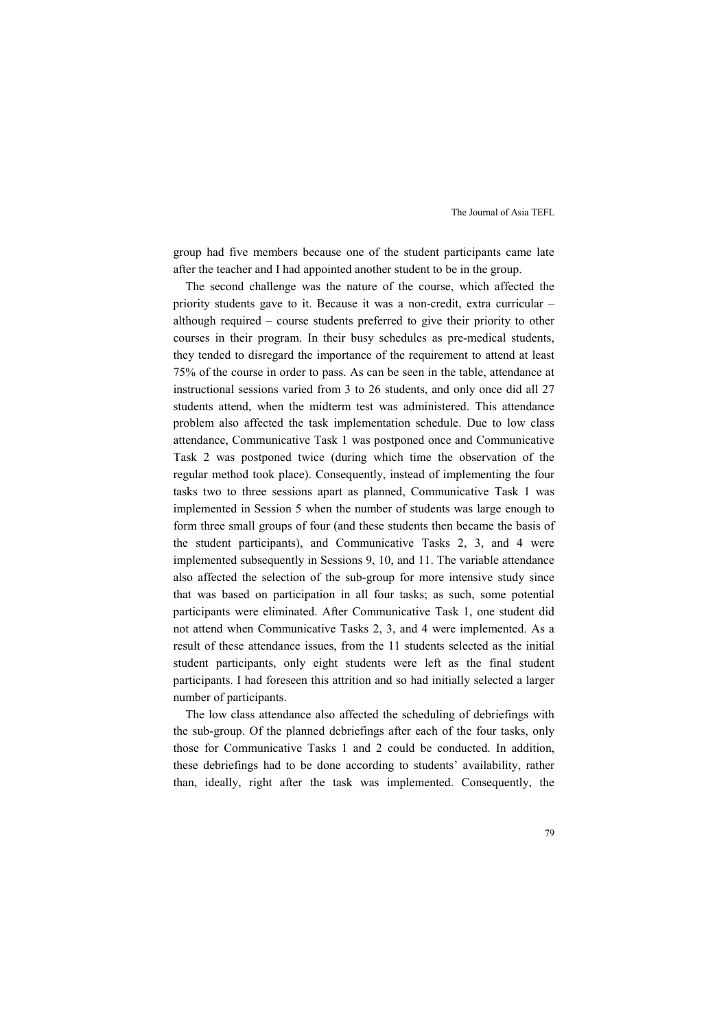group had five members because one of the student participants came late after the teacher and I had appointed another student to be in the group.

The second challenge was the nature of the course, which affected the priority students gave to it. Because it was a non-credit, extra curricular – although required – course students preferred to give their priority to other courses in their program. In their busy schedules as pre-medical students, they tended to disregard the importance of the requirement to attend at least 75% of the course in order to pass. As can be seen in the table, attendance at instructional sessions varied from 3 to 26 students, and only once did all 27 students attend, when the midterm test was administered. This attendance problem also affected the task implementation schedule. Due to low class attendance, Communicative Task 1 was postponed once and Communicative Task 2 was postponed twice (during which time the observation of the regular method took place). Consequently, instead of implementing the four tasks two to three sessions apart as planned, Communicative Task 1 was implemented in Session 5 when the number of students was large enough to form three small groups of four (and these students then became the basis of the student participants), and Communicative Tasks 2, 3, and 4 were implemented subsequently in Sessions 9, 10, and 11. The variable attendance also affected the selection of the sub-group for more intensive study since that was based on participation in all four tasks; as such, some potential participants were eliminated. After Communicative Task 1, one student did not attend when Communicative Tasks 2, 3, and 4 were implemented. As a result of these attendance issues, from the 11 students selected as the initial student participants, only eight students were left as the final student participants. I had foreseen this attrition and so had initially selected a larger number of participants.

The low class attendance also affected the scheduling of debriefings with the sub-group. Of the planned debriefings after each of the four tasks, only those for Communicative Tasks 1 and 2 could be conducted. In addition, these debriefings had to be done according to students' availability, rather than, ideally, right after the task was implemented. Consequently, the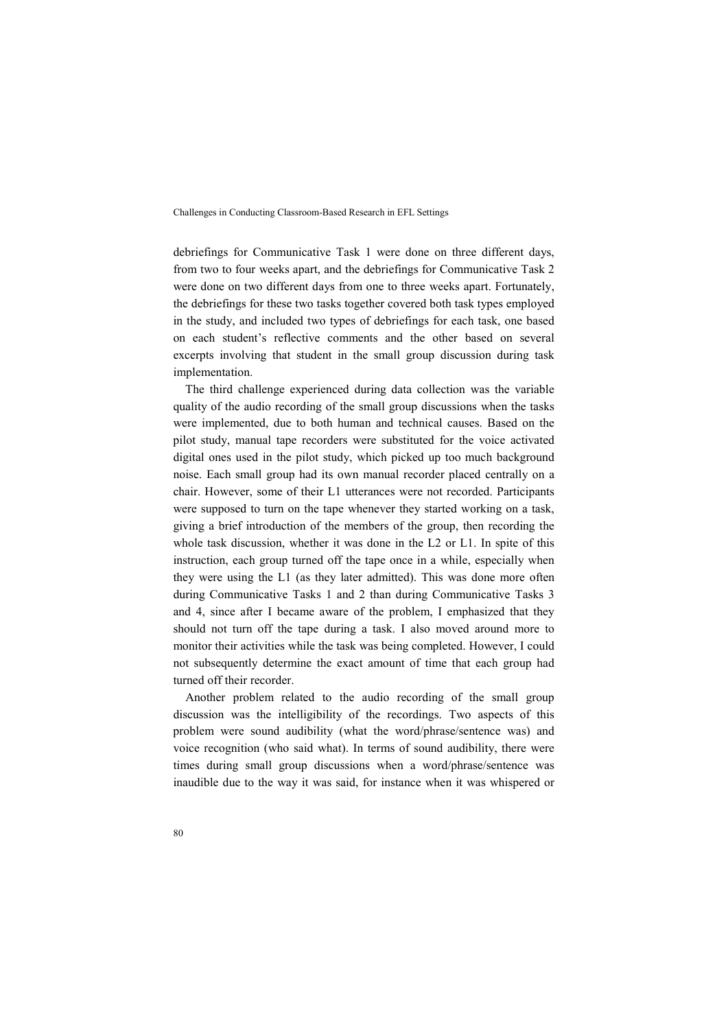debriefings for Communicative Task 1 were done on three different days, from two to four weeks apart, and the debriefings for Communicative Task 2 were done on two different days from one to three weeks apart. Fortunately, the debriefings for these two tasks together covered both task types employed in the study, and included two types of debriefings for each task, one based on each student's reflective comments and the other based on several excerpts involving that student in the small group discussion during task implementation.

The third challenge experienced during data collection was the variable quality of the audio recording of the small group discussions when the tasks were implemented, due to both human and technical causes. Based on the pilot study, manual tape recorders were substituted for the voice activated digital ones used in the pilot study, which picked up too much background noise. Each small group had its own manual recorder placed centrally on a chair. However, some of their L1 utterances were not recorded. Participants were supposed to turn on the tape whenever they started working on a task, giving a brief introduction of the members of the group, then recording the whole task discussion, whether it was done in the L2 or L1. In spite of this instruction, each group turned off the tape once in a while, especially when they were using the L1 (as they later admitted). This was done more often during Communicative Tasks 1 and 2 than during Communicative Tasks 3 and 4, since after I became aware of the problem, I emphasized that they should not turn off the tape during a task. I also moved around more to monitor their activities while the task was being completed. However, I could not subsequently determine the exact amount of time that each group had turned off their recorder.

Another problem related to the audio recording of the small group discussion was the intelligibility of the recordings. Two aspects of this problem were sound audibility (what the word/phrase/sentence was) and voice recognition (who said what). In terms of sound audibility, there were times during small group discussions when a word/phrase/sentence was inaudible due to the way it was said, for instance when it was whispered or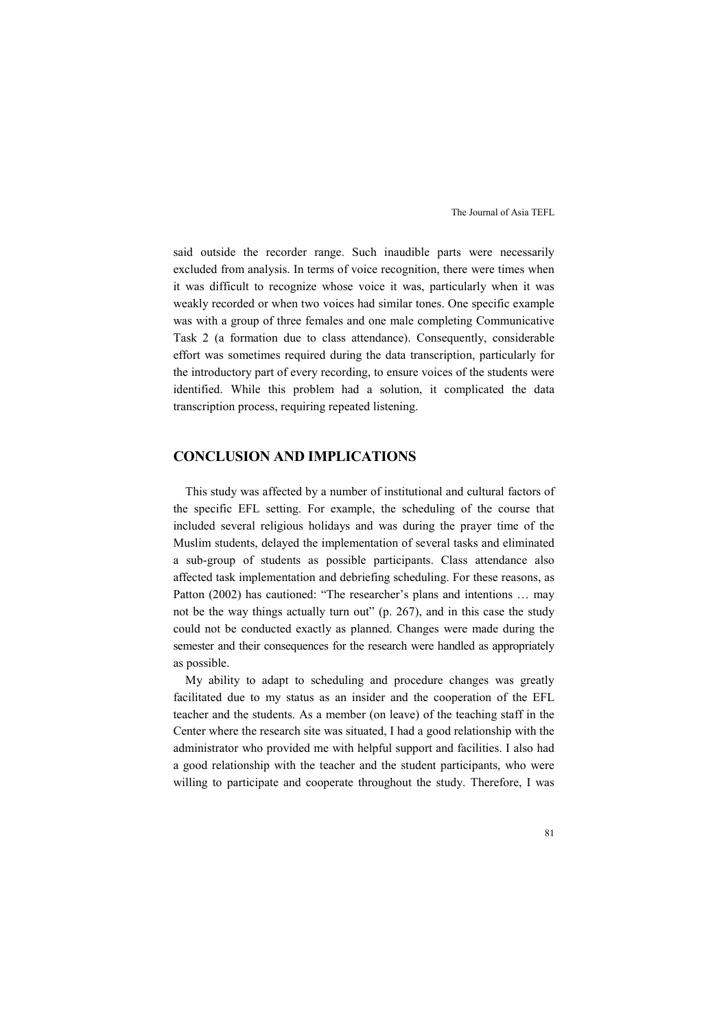said outside the recorder range. Such inaudible parts were necessarily excluded from analysis. In terms of voice recognition, there were times when it was difficult to recognize whose voice it was, particularly when it was weakly recorded or when two voices had similar tones. One specific example was with a group of three females and one male completing Communicative Task 2 (a formation due to class attendance). Consequently, considerable effort was sometimes required during the data transcription, particularly for the introductory part of every recording, to ensure voices of the students were identified. While this problem had a solution, it complicated the data transcription process, requiring repeated listening.

# **CONCLUSION AND IMPLICATIONS**

This study was affected by a number of institutional and cultural factors of the specific EFL setting. For example, the scheduling of the course that included several religious holidays and was during the prayer time of the Muslim students, delayed the implementation of several tasks and eliminated a sub-group of students as possible participants. Class attendance also affected task implementation and debriefing scheduling. For these reasons, as Patton (2002) has cautioned: "The researcher's plans and intentions … may not be the way things actually turn out" (p. 267), and in this case the study could not be conducted exactly as planned. Changes were made during the semester and their consequences for the research were handled as appropriately as possible.

My ability to adapt to scheduling and procedure changes was greatly facilitated due to my status as an insider and the cooperation of the EFL teacher and the students. As a member (on leave) of the teaching staff in the Center where the research site was situated, I had a good relationship with the administrator who provided me with helpful support and facilities. I also had a good relationship with the teacher and the student participants, who were willing to participate and cooperate throughout the study. Therefore, I was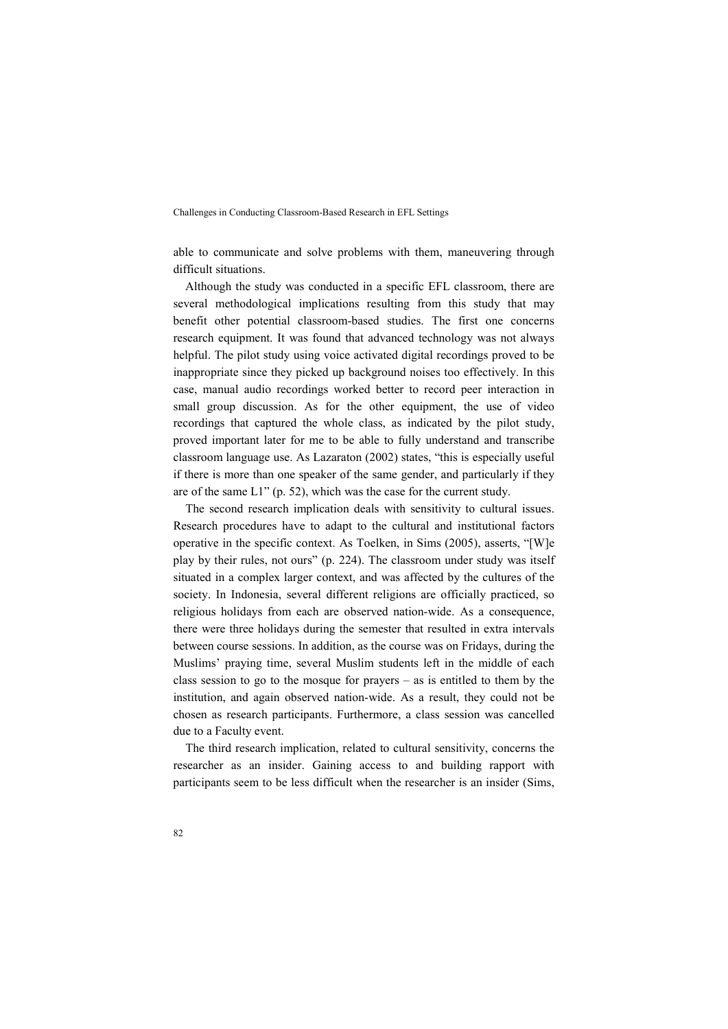able to communicate and solve problems with them, maneuvering through difficult situations.

Although the study was conducted in a specific EFL classroom, there are several methodological implications resulting from this study that may benefit other potential classroom-based studies. The first one concerns research equipment. It was found that advanced technology was not always helpful. The pilot study using voice activated digital recordings proved to be inappropriate since they picked up background noises too effectively. In this case, manual audio recordings worked better to record peer interaction in small group discussion. As for the other equipment, the use of video recordings that captured the whole class, as indicated by the pilot study, proved important later for me to be able to fully understand and transcribe classroom language use. As Lazaraton (2002) states, "this is especially useful if there is more than one speaker of the same gender, and particularly if they are of the same L1" (p. 52), which was the case for the current study.

The second research implication deals with sensitivity to cultural issues. Research procedures have to adapt to the cultural and institutional factors operative in the specific context. As Toelken, in Sims (2005), asserts, "[W]e play by their rules, not ours" (p. 224). The classroom under study was itself situated in a complex larger context, and was affected by the cultures of the society. In Indonesia, several different religions are officially practiced, so religious holidays from each are observed nation-wide. As a consequence, there were three holidays during the semester that resulted in extra intervals between course sessions. In addition, as the course was on Fridays, during the Muslims' praying time, several Muslim students left in the middle of each class session to go to the mosque for prayers – as is entitled to them by the institution, and again observed nation-wide. As a result, they could not be chosen as research participants. Furthermore, a class session was cancelled due to a Faculty event.

The third research implication, related to cultural sensitivity, concerns the researcher as an insider. Gaining access to and building rapport with participants seem to be less difficult when the researcher is an insider (Sims,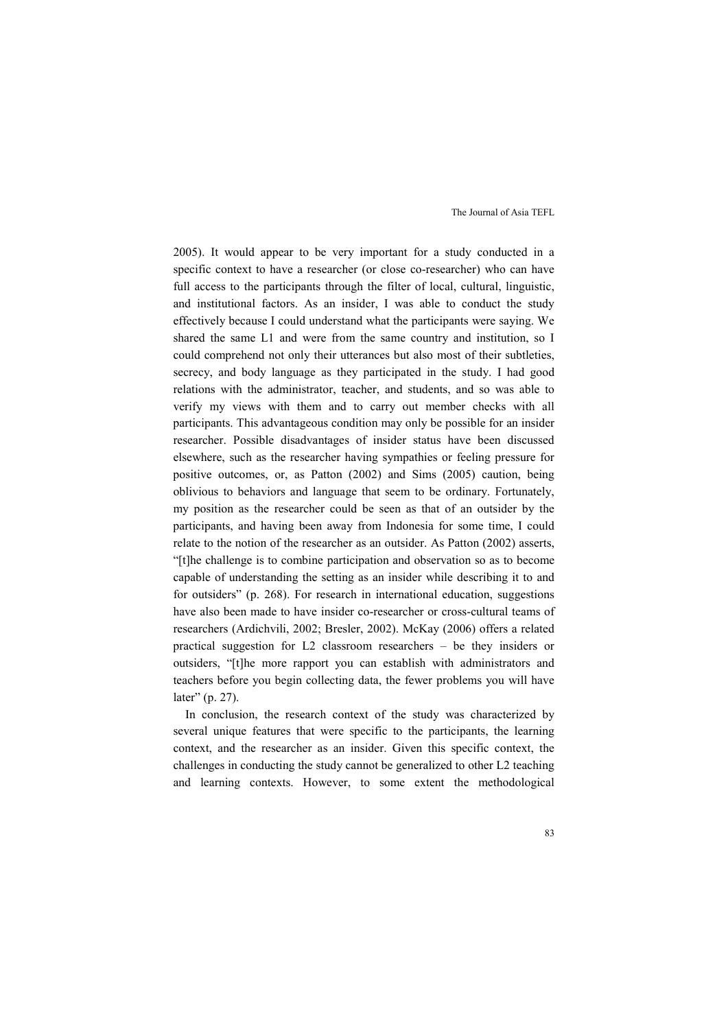2005). It would appear to be very important for a study conducted in a specific context to have a researcher (or close co-researcher) who can have full access to the participants through the filter of local, cultural, linguistic, and institutional factors. As an insider, I was able to conduct the study effectively because I could understand what the participants were saying. We shared the same L1 and were from the same country and institution, so I could comprehend not only their utterances but also most of their subtleties, secrecy, and body language as they participated in the study. I had good relations with the administrator, teacher, and students, and so was able to verify my views with them and to carry out member checks with all participants. This advantageous condition may only be possible for an insider researcher. Possible disadvantages of insider status have been discussed elsewhere, such as the researcher having sympathies or feeling pressure for positive outcomes, or, as Patton (2002) and Sims (2005) caution, being oblivious to behaviors and language that seem to be ordinary. Fortunately, my position as the researcher could be seen as that of an outsider by the participants, and having been away from Indonesia for some time, I could relate to the notion of the researcher as an outsider. As Patton (2002) asserts, "[t]he challenge is to combine participation and observation so as to become capable of understanding the setting as an insider while describing it to and for outsiders" (p. 268). For research in international education, suggestions have also been made to have insider co-researcher or cross-cultural teams of researchers (Ardichvili, 2002; Bresler, 2002). McKay (2006) offers a related practical suggestion for L2 classroom researchers – be they insiders or outsiders, "[t]he more rapport you can establish with administrators and teachers before you begin collecting data, the fewer problems you will have later" (p. 27).

In conclusion, the research context of the study was characterized by several unique features that were specific to the participants, the learning context, and the researcher as an insider. Given this specific context, the challenges in conducting the study cannot be generalized to other L2 teaching and learning contexts. However, to some extent the methodological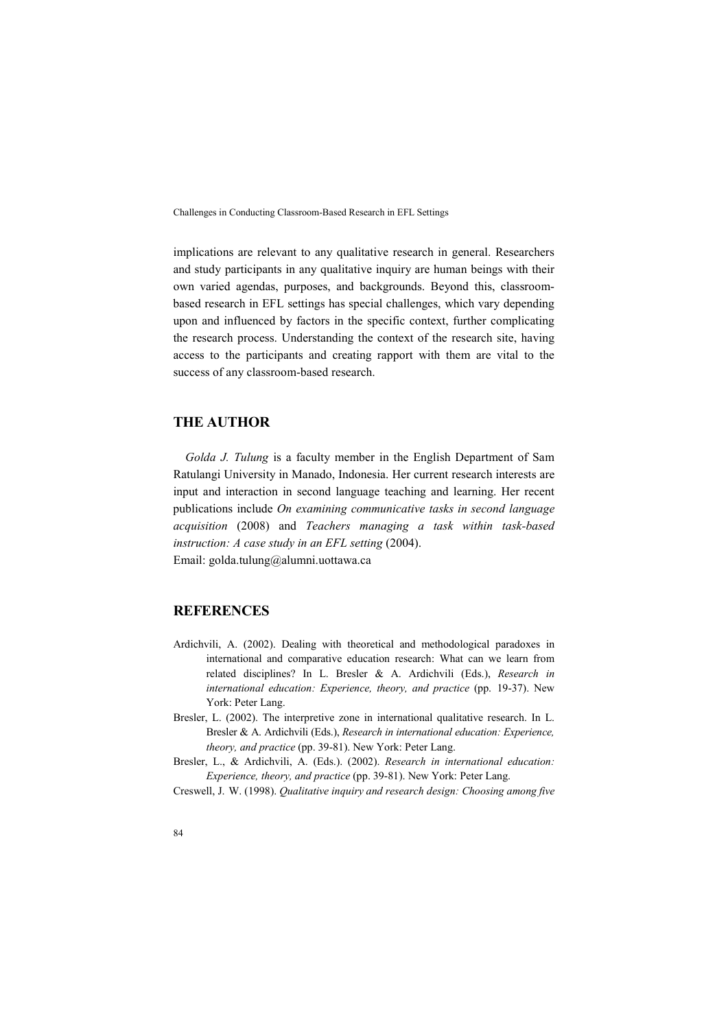implications are relevant to any qualitative research in general. Researchers and study participants in any qualitative inquiry are human beings with their own varied agendas, purposes, and backgrounds. Beyond this, classroombased research in EFL settings has special challenges, which vary depending upon and influenced by factors in the specific context, further complicating the research process. Understanding the context of the research site, having access to the participants and creating rapport with them are vital to the success of any classroom-based research.

# **THE AUTHOR**

*Golda J. Tulung* is a faculty member in the English Department of Sam Ratulangi University in Manado, Indonesia. Her current research interests are input and interaction in second language teaching and learning. Her recent publications include *On examining communicative tasks in second language acquisition* (2008) and *Teachers managing a task within task-based instruction: A case study in an EFL setting* (2004). Email: golda.tulung@alumni.uottawa.ca

# **REFERENCES**

- Ardichvili, A. (2002). Dealing with theoretical and methodological paradoxes in international and comparative education research: What can we learn from related disciplines? In L. Bresler & A. Ardichvili (Eds.), *Research in*  international education: Experience, theory, and practice (pp. 19-37). New York: Peter Lang.
- Bresler, L. (2002). The interpretive zone in international qualitative research. In L. Bresler & A. Ardichvili (Eds.), *Research in international education: Experience, theory, and practice* (pp. 39-81). New York: Peter Lang.
- Bresler, L., & Ardichvili, A. (Eds.). (2002). *Research in international education: Experience, theory, and practice* (pp. 39-81). New York: Peter Lang.

Creswell, J. W. (1998). *Qualitative inquiry and research design: Choosing among five*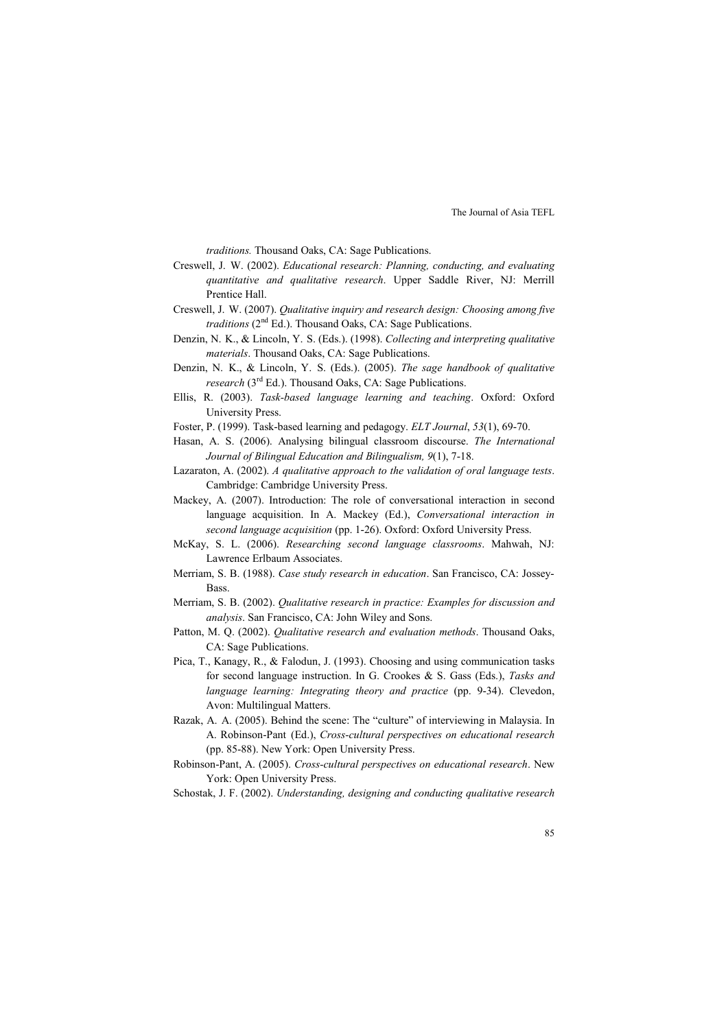*traditions.* Thousand Oaks, CA: Sage Publications.

- Creswell, J. W. (2002). *Educational research: Planning, conducting, and evaluating quantitative and qualitative research*. Upper Saddle River, NJ: Merrill Prentice Hall.
- Creswell, J. W. (2007). *Qualitative inquiry and research design: Choosing among five traditions* (2<sup>nd</sup> Ed.). Thousand Oaks, CA: Sage Publications.
- Denzin, N. K., & Lincoln, Y. S. (Eds.). (1998). *Collecting and interpreting qualitative materials*. Thousand Oaks, CA: Sage Publications.
- Denzin, N. K., & Lincoln, Y. S. (Eds.). (2005). *The sage handbook of qualitative research* (3rd Ed.). Thousand Oaks, CA: Sage Publications.
- Ellis, R. (2003). *Task-based language learning and teaching*. Oxford: Oxford University Press.
- Foster, P. (1999). Task-based learning and pedagogy. *ELT Journal*, *53*(1), 69-70.
- Hasan, A. S. (2006). Analysing bilingual classroom discourse. *The International Journal of Bilingual Education and Bilingualism, 9*(1), 7-18.
- Lazaraton, A. (2002). *A qualitative approach to the validation of oral language tests*. Cambridge: Cambridge University Press.
- Mackey, A. (2007). Introduction: The role of conversational interaction in second language acquisition. In A. Mackey (Ed.), *Conversational interaction in second language acquisition* (pp. 1-26). Oxford: Oxford University Press.
- McKay, S. L. (2006). *Researching second language classrooms*. Mahwah, NJ: Lawrence Erlbaum Associates.
- Merriam, S. B. (1988). *Case study research in education*. San Francisco, CA: Jossey-Bass.
- Merriam, S. B. (2002). *Qualitative research in practice: Examples for discussion and analysis*. San Francisco, CA: John Wiley and Sons.
- Patton, M. Q. (2002). *Qualitative research and evaluation methods*. Thousand Oaks, CA: Sage Publications.
- Pica, T., Kanagy, R., & Falodun, J. (1993). Choosing and using communication tasks for second language instruction. In G. Crookes & S. Gass (Eds.), *Tasks and language learning: Integrating theory and practice* (pp. 9-34). Clevedon, Avon: Multilingual Matters.
- Razak, A. A. (2005). Behind the scene: The "culture" of interviewing in Malaysia. In A. Robinson-Pant (Ed.), *Cross-cultural perspectives on educational research* (pp. 85-88). New York: Open University Press.
- Robinson-Pant, A. (2005). *Cross-cultural perspectives on educational research*. New York: Open University Press.
- Schostak, J. F. (2002). *Understanding, designing and conducting qualitative research*